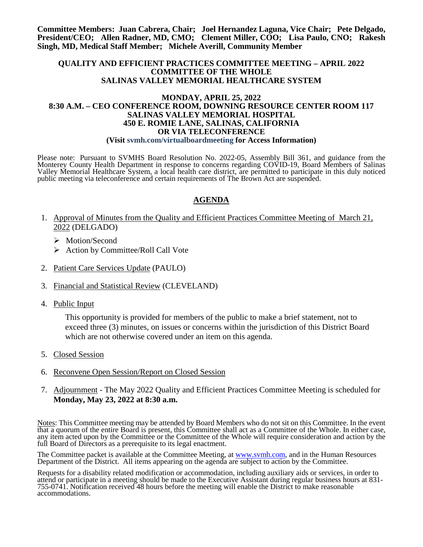**Committee Members: Juan Cabrera, Chair; Joel Hernandez Laguna, Vice Chair; Pete Delgado, President/CEO; Allen Radner, MD, CMO; Clement Miller, COO; Lisa Paulo, CNO; Rakesh Singh, MD, Medical Staff Member; Michele Averill, Community Member**

#### **QUALITY AND EFFICIENT PRACTICES COMMITTEE MEETING – APRIL 2022 COMMITTEE OF THE WHOLE SALINAS VALLEY MEMORIAL HEALTHCARE SYSTEM**

#### **MONDAY, APRIL 25, 2022 8:30 A.M. – CEO CONFERENCE ROOM, DOWNING RESOURCE CENTER ROOM 117 SALINAS VALLEY MEMORIAL HOSPITAL 450 E. ROMIE LANE, SALINAS, CALIFORNIA OR VIA TELECONFERENCE (Visit svmh.com/virtualboardmeeting for Access Information)**

Please note: Pursuant to SVMHS Board Resolution No. 2022-05, Assembly Bill 361, and guidance from the Monterey County Health Department in response to concerns regarding COVID-19, Board Members of Salinas Valley Memorial Healthcare System, a local health care district, are permitted to participate in this duly noticed public meeting via teleconference and certain requirements of The Brown Act are suspended.

## **AGENDA**

- 1. Approval of Minutes from the Quality and Efficient Practices Committee Meeting of March 21, 2022 (DELGADO)
	- > Motion/Second
	- $\triangleright$  Action by Committee/Roll Call Vote
- 2. Patient Care Services Update (PAULO)
- 3. Financial and Statistical Review (CLEVELAND)
- 4. Public Input

This opportunity is provided for members of the public to make a brief statement, not to exceed three (3) minutes, on issues or concerns within the jurisdiction of this District Board which are not otherwise covered under an item on this agenda.

- 5. Closed Session
- 6. Reconvene Open Session/Report on Closed Session
- 7. Adjournment The May 2022 Quality and Efficient Practices Committee Meeting is scheduled for **Monday, May 23, 2022 at 8:30 a.m.**

Notes: This Committee meeting may be attended by Board Members who do not sit on this Committee. In the event that a quorum of the entire Board is present, this Committee shall act as a Committee of the Whole. In either case, any item acted upon by the Committee or the Committee of the Whole will require consideration and action by the full Board of Directors as a prerequisite to its legal enactment.

The Committee packet is available at the Committee Meeting, at [www.svmh.com,](http://www.svmh.com/) and in the Human Resources Department of the District. All items appearing on the agenda are subject to action by the Committee.

Requests for a disability related modification or accommodation, including auxiliary aids or services, in order to attend or participate in a meeting should be made to the Executive Assistant during regular business hours at 831- 755-0741. Notification received 48 hours before the meeting will enable the District to make reasonable accommodations.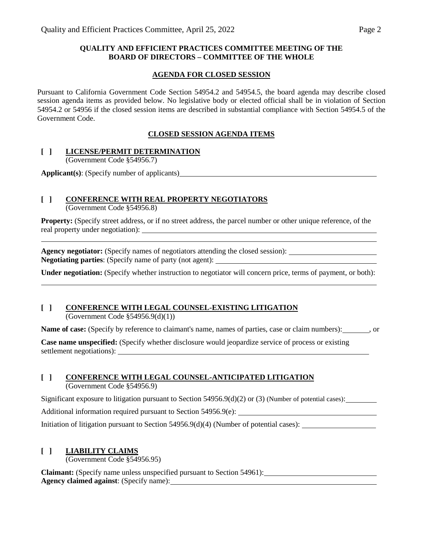### **QUALITY AND EFFICIENT PRACTICES COMMITTEE MEETING OF THE BOARD OF DIRECTORS – COMMITTEE OF THE WHOLE**

#### **AGENDA FOR CLOSED SESSION**

Pursuant to California Government Code Section 54954.2 and 54954.5, the board agenda may describe closed session agenda items as provided below. No legislative body or elected official shall be in violation of Section 54954.2 or 54956 if the closed session items are described in substantial compliance with Section 54954.5 of the Government Code.

### **CLOSED SESSION AGENDA ITEMS**

#### **[ ] LICENSE/PERMIT DETERMINATION**

(Government Code §54956.7)

**Applicant(s)**: (Specify number of applicants)

## **[ ] CONFERENCE WITH REAL PROPERTY NEGOTIATORS**

(Government Code §54956.8)

**Property:** (Specify street address, or if no street address, the parcel number or other unique reference, of the real property under negotiation):

**Agency negotiator:** (Specify names of negotiators attending the closed session): **Negotiating parties**: (Specify name of party (not agent):

**Under negotiation:** (Specify whether instruction to negotiator will concern price, terms of payment, or both):

# **[ ] CONFERENCE WITH LEGAL COUNSEL-EXISTING LITIGATION**

(Government Code §54956.9(d)(1))

**Name of case:** (Specify by reference to claimant's name, names of parties, case or claim numbers): , or

**Case name unspecified:** (Specify whether disclosure would jeopardize service of process or existing settlement negotiations):

### **[ ] CONFERENCE WITH LEGAL COUNSEL-ANTICIPATED LITIGATION**

(Government Code §54956.9)

Significant exposure to litigation pursuant to Section  $54956.9(d)(2)$  or (3) (Number of potential cases):

Additional information required pursuant to Section 54956.9(e):

Initiation of litigation pursuant to Section 54956.9(d)(4) (Number of potential cases):

### **[ ] LIABILITY CLAIMS**

(Government Code §54956.95)

**Claimant:** (Specify name unless unspecified pursuant to Section 54961): **Agency claimed against**: (Specify name):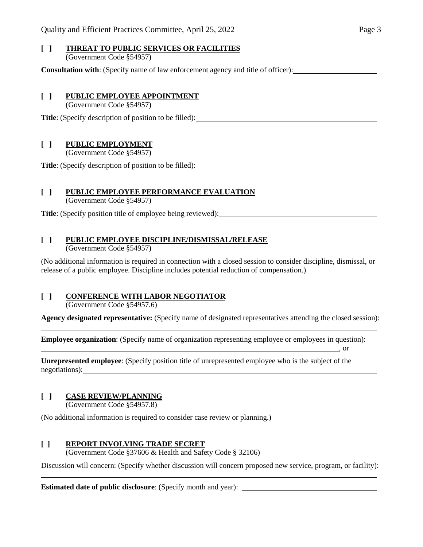#### **[ ] THREAT TO PUBLIC SERVICES OR FACILITIES** (Government Code §54957)

**Consultation with**: (Specify name of law enforcement agency and title of officer):

#### **[ ] PUBLIC EMPLOYEE APPOINTMENT**

(Government Code §54957)

**Title**: (Specify description of position to be filled):

### **[ ] PUBLIC EMPLOYMENT**

(Government Code §54957)

**Title**: (Specify description of position to be filled):

### **[ ] PUBLIC EMPLOYEE PERFORMANCE EVALUATION**

(Government Code §54957)

**Title**: (Specify position title of employee being reviewed):

### **[ ] PUBLIC EMPLOYEE DISCIPLINE/DISMISSAL/RELEASE**

(Government Code §54957)

(No additional information is required in connection with a closed session to consider discipline, dismissal, or release of a public employee. Discipline includes potential reduction of compensation.)

# **[ ] CONFERENCE WITH LABOR NEGOTIATOR**

(Government Code §54957.6)

**Agency designated representative:** (Specify name of designated representatives attending the closed session):

, or

**Employee organization**: (Specify name of organization representing employee or employees in question):

**Unrepresented employee**: (Specify position title of unrepresented employee who is the subject of the negotiations):

## **[ ] CASE REVIEW/PLANNING**

 $\overline{a}$ 

(Government Code §54957.8)

(No additional information is required to consider case review or planning.)

## **[ ] REPORT INVOLVING TRADE SECRET**

(Government Code §37606 & Health and Safety Code § 32106)

Discussion will concern: (Specify whether discussion will concern proposed new service, program, or facility):

**Estimated date of public disclosure**: (Specify month and year):